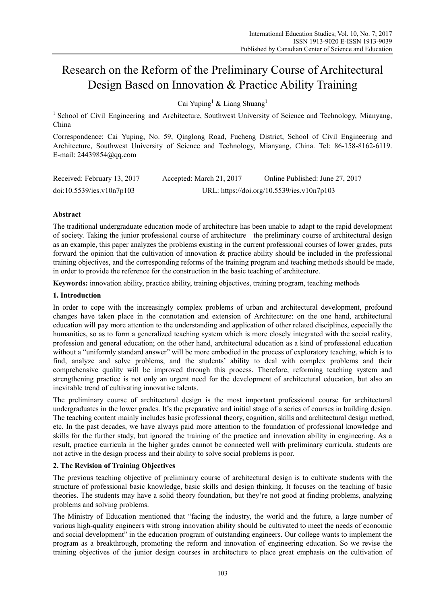# Research on the Reform of the Preliminary Course of Architectural Design Based on Innovation & Practice Ability Training

Cai Yuping<sup>1</sup> & Liang Shuang<sup>1</sup>

<sup>1</sup> School of Civil Engineering and Architecture, Southwest University of Science and Technology, Mianyang, China

Correspondence: Cai Yuping, No. 59, Qinglong Road, Fucheng District, School of Civil Engineering and Architecture, Southwest University of Science and Technology, Mianyang, China. Tel: 86-158-8162-6119. E-mail: 24439854@qq.com

| Received: February 13, 2017 | Accepted: March 21, 2017                   | Online Published: June 27, 2017 |
|-----------------------------|--------------------------------------------|---------------------------------|
| doi:10.5539/ies.v10n7p103   | URL: https://doi.org/10.5539/ies.v10n7p103 |                                 |

# **Abstract**

The traditional undergraduate education mode of architecture has been unable to adapt to the rapid development of society. Taking the junior professional course of architecture—the preliminary course of architectural design as an example, this paper analyzes the problems existing in the current professional courses of lower grades, puts forward the opinion that the cultivation of innovation & practice ability should be included in the professional training objectives, and the corresponding reforms of the training program and teaching methods should be made, in order to provide the reference for the construction in the basic teaching of architecture.

**Keywords:** innovation ability, practice ability, training objectives, training program, teaching methods

## **1. Introduction**

In order to cope with the increasingly complex problems of urban and architectural development, profound changes have taken place in the connotation and extension of Architecture: on the one hand, architectural education will pay more attention to the understanding and application of other related disciplines, especially the humanities, so as to form a generalized teaching system which is more closely integrated with the social reality, profession and general education; on the other hand, architectural education as a kind of professional education without a "uniformly standard answer" will be more embodied in the process of exploratory teaching, which is to find, analyze and solve problems, and the students' ability to deal with complex problems and their comprehensive quality will be improved through this process. Therefore, reforming teaching system and strengthening practice is not only an urgent need for the development of architectural education, but also an inevitable trend of cultivating innovative talents.

The preliminary course of architectural design is the most important professional course for architectural undergraduates in the lower grades. It's the preparative and initial stage of a series of courses in building design. The teaching content mainly includes basic professional theory, cognition, skills and architectural design method, etc. In the past decades, we have always paid more attention to the foundation of professional knowledge and skills for the further study, but ignored the training of the practice and innovation ability in engineering. As a result, practice curricula in the higher grades cannot be connected well with preliminary curricula, students are not active in the design process and their ability to solve social problems is poor.

# **2. The Revision of Training Objectives**

The previous teaching objective of preliminary course of architectural design is to cultivate students with the structure of professional basic knowledge, basic skills and design thinking. It focuses on the teaching of basic theories. The students may have a solid theory foundation, but they're not good at finding problems, analyzing problems and solving problems.

The Ministry of Education mentioned that "facing the industry, the world and the future, a large number of various high-quality engineers with strong innovation ability should be cultivated to meet the needs of economic and social development" in the education program of outstanding engineers. Our college wants to implement the program as a breakthrough, promoting the reform and innovation of engineering education. So we revise the training objectives of the junior design courses in architecture to place great emphasis on the cultivation of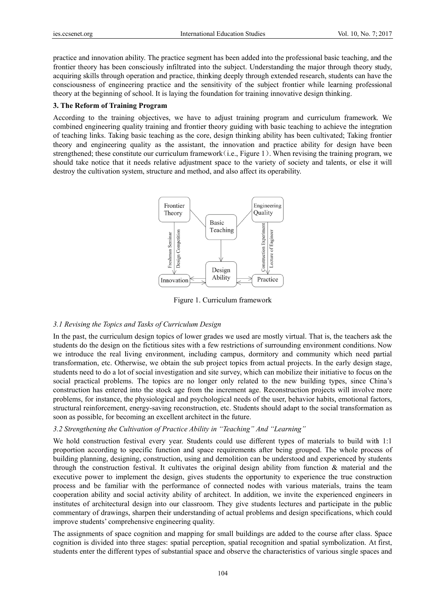practice and innovation ability. The practice segment has been added into the professional basic teaching, and the frontier theory has been consciously infiltrated into the subject. Understanding the major through theory study, acquiring skills through operation and practice, thinking deeply through extended research, students can have the consciousness of engineering practice and the sensitivity of the subject frontier while learning professional theory at the beginning of school. It is laying the foundation for training innovative design thinking.

## 3. The Reform of Training Program

According to the training objectives, we have to adjust training program and curriculum framework. We combined engineering quality training and frontier theory guiding with basic teaching to achieve the integration of teaching links. Taking basic teaching as the core, design thinking ability has been cultivated: Taking frontier theory and engineering quality as the assistant, the innovation and practice ability for design have been strengthened; these constitute our curriculum framework (i.e., Figure 1). When revising the training program, we should take notice that it needs relative adjustment space to the variety of society and talents, or else it will destroy the cultivation system, structure and method, and also affect its operability.



Figure 1. Curriculum framework

# 3.1 Revising the Topics and Tasks of Curriculum Design

In the past, the curriculum design topics of lower grades we used are mostly virtual. That is, the teachers ask the students do the design on the fictitious sites with a few restrictions of surrounding environment conditions. Now we introduce the real living environment, including campus, dormitory and community which need partial transformation, etc. Otherwise, we obtain the sub project topics from actual projects. In the early design stage, students need to do a lot of social investigation and site survey, which can mobilize their initiative to focus on the social practical problems. The topics are no longer only related to the new building types, since China's construction has entered into the stock age from the increment age. Reconstruction projects will involve more problems, for instance, the physiological and psychological needs of the user, behavior habits, emotional factors, structural reinforcement, energy-saving reconstruction, etc. Students should adapt to the social transformation as soon as possible, for becoming an excellent architect in the future.

# 3.2 Strengthening the Cultivation of Practice Ability in "Teaching" And "Learning"

We hold construction festival every year. Students could use different types of materials to build with 1:1 proportion according to specific function and space requirements after being grouped. The whole process of building planning, designing, construction, using and demolition can be understood and experienced by students through the construction festival. It cultivates the original design ability from function  $\&$  material and the executive power to implement the design, gives students the opportunity to experience the true construction process and be familiar with the performance of connected nodes with various materials, trains the team cooperation ability and social activity ability of architect. In addition, we invite the experienced engineers in institutes of architectural design into our classroom. They give students lectures and participate in the public commentary of drawings, sharpen their understanding of actual problems and design specifications, which could improve students' comprehensive engineering quality.

The assignments of space cognition and mapping for small buildings are added to the course after class. Space cognition is divided into three stages: spatial perception, spatial recognition and spatial symbolization. At first, students enter the different types of substantial space and observe the characteristics of various single spaces and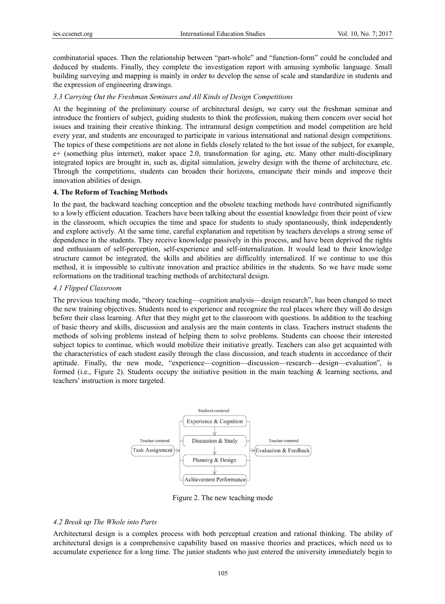combinatorial spaces. Then the relationship between "part-whole" and "function-form" could be concluded and deduced by students. Finally, they complete the investigation report with amusing symbolic language. Small building surveying and mapping is mainly in order to develop the sense of scale and standardize in students and the expression of engineering drawings.

#### 3.3 Carrying Out the Freshman Seminars and All Kinds of Design Competitions

At the beginning of the preliminary course of architectural design, we carry out the freshman seminar and introduce the frontiers of subject, guiding students to think the profession, making them concern over social hot issues and training their creative thinking. The intramural design competition and model competition are held every year, and students are encouraged to participate in various international and national design competitions. The topics of these competitions are not alone in fields closely related to the hot issue of the subject, for example, e+ (something plus internet), maker space 2.0, transformation for aging, etc. Many other multi-disciplinary integrated topics are brought in, such as, digital simulation, jewelry design with the theme of architecture, etc. Through the competitions, students can broaden their horizons, emancipate their minds and improve their innovation abilities of design.

#### 4. The Reform of Teaching Methods

In the past, the backward teaching conception and the obsolete teaching methods have contributed significantly to a lowly efficient education. Teachers have been talking about the essential knowledge from their point of view in the classroom, which occupies the time and space for students to study spontaneously, think independently and explore actively. At the same time, careful explanation and repetition by teachers develops a strong sense of dependence in the students. They receive knowledge passively in this process, and have been deprived the rights and enthusiasm of self-perception, self-experience and self-internalization. It would lead to their knowledge structure cannot be integrated, the skills and abilities are difficultly internalized. If we continue to use this method, it is impossible to cultivate innovation and practice abilities in the students. So we have made some reformations on the traditional teaching methods of architectural design.

#### 4.1 Flipped Classroom

The previous teaching mode, "theory teaching—cognition analysis—design research", has been changed to meet the new training objectives. Students need to experience and recognize the real places where they will do design before their class learning. After that they might get to the classroom with questions. In addition to the teaching of basic theory and skills, discussion and analysis are the main contents in class. Teachers instruct students the methods of solving problems instead of helping them to solve problems. Students can choose their interested subject topics to continue, which would mobilize their initiative greatly. Teachers can also get acquainted with the characteristics of each student easily through the class discussion, and teach students in accordance of their aptitude. Finally, the new mode, "experience—cognition—discussion—research—design—evaluation", is formed (i.e., Figure 2). Students occupy the initiative position in the main teaching  $\&$  learning sections, and teachers' instruction is more targeted.



Figure 2. The new teaching mode

## 4.2 Break up The Whole into Parts

Architectural design is a complex process with both perceptual creation and rational thinking. The ability of architectural design is a comprehensive capability based on massive theories and practices, which need us to accumulate experience for a long time. The junior students who just entered the university immediately begin to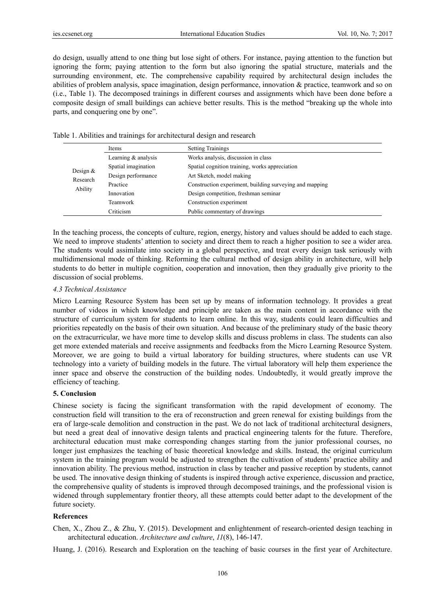do design, usually attend to one thing but lose sight of others. For instance, paying attention to the function but ignoring the form; paying attention to the form but also ignoring the spatial structure, materials and the surrounding environment, etc. The comprehensive capability required by architectural design includes the abilities of problem analysis, space imagination, design performance, innovation & practice, teamwork and so on (i.e., Table 1). The decomposed trainings in different courses and assignments which have been done before a composite design of small buildings can achieve better results. This is the method "breaking up the whole into parts, and conquering one by one".

| Items                             |                       | <b>Setting Trainings</b>                                |
|-----------------------------------|-----------------------|---------------------------------------------------------|
| Design $&$<br>Research<br>Ability | Learning $&$ analysis | Works analysis, discussion in class                     |
|                                   | Spatial imagination   | Spatial cognition training, works appreciation          |
|                                   | Design performance    | Art Sketch, model making                                |
|                                   | Practice              | Construction experiment, building surveying and mapping |
|                                   | Innovation            | Design competition, freshman seminar                    |
|                                   | Teamwork              | Construction experiment                                 |
|                                   | Criticism             | Public commentary of drawings                           |

Table 1. Abilities and trainings for architectural design and research

In the teaching process, the concepts of culture, region, energy, history and values should be added to each stage. We need to improve students' attention to society and direct them to reach a higher position to see a wider area. The students would assimilate into society in a global perspective, and treat every design task seriously with multidimensional mode of thinking. Reforming the cultural method of design ability in architecture, will help students to do better in multiple cognition, cooperation and innovation, then they gradually give priority to the discussion of social problems.

#### *4.3 Technical Assistance*

Micro Learning Resource System has been set up by means of information technology. It provides a great number of videos in which knowledge and principle are taken as the main content in accordance with the structure of curriculum system for students to learn online. In this way, students could learn difficulties and priorities repeatedly on the basis of their own situation. And because of the preliminary study of the basic theory on the extracurricular, we have more time to develop skills and discuss problems in class. The students can also get more extended materials and receive assignments and feedbacks from the Micro Learning Resource System. Moreover, we are going to build a virtual laboratory for building structures, where students can use VR technology into a variety of building models in the future. The virtual laboratory will help them experience the inner space and observe the construction of the building nodes. Undoubtedly, it would greatly improve the efficiency of teaching.

## **5. Conclusion**

Chinese society is facing the significant transformation with the rapid development of economy. The construction field will transition to the era of reconstruction and green renewal for existing buildings from the era of large-scale demolition and construction in the past. We do not lack of traditional architectural designers, but need a great deal of innovative design talents and practical engineering talents for the future. Therefore, architectural education must make corresponding changes starting from the junior professional courses, no longer just emphasizes the teaching of basic theoretical knowledge and skills. Instead, the original curriculum system in the training program would be adjusted to strengthen the cultivation of students' practice ability and innovation ability. The previous method, instruction in class by teacher and passive reception by students, cannot be used. The innovative design thinking of students is inspired through active experience, discussion and practice, the comprehensive quality of students is improved through decomposed trainings, and the professional vision is widened through supplementary frontier theory, all these attempts could better adapt to the development of the future society.

## **References**

Chen, X., Zhou Z., & Zhu, Y. (2015). Development and enlightenment of research-oriented design teaching in architectural education. *Architecture and culture*, *11*(8), 146-147.

Huang, J. (2016). Research and Exploration on the teaching of basic courses in the first year of Architecture.